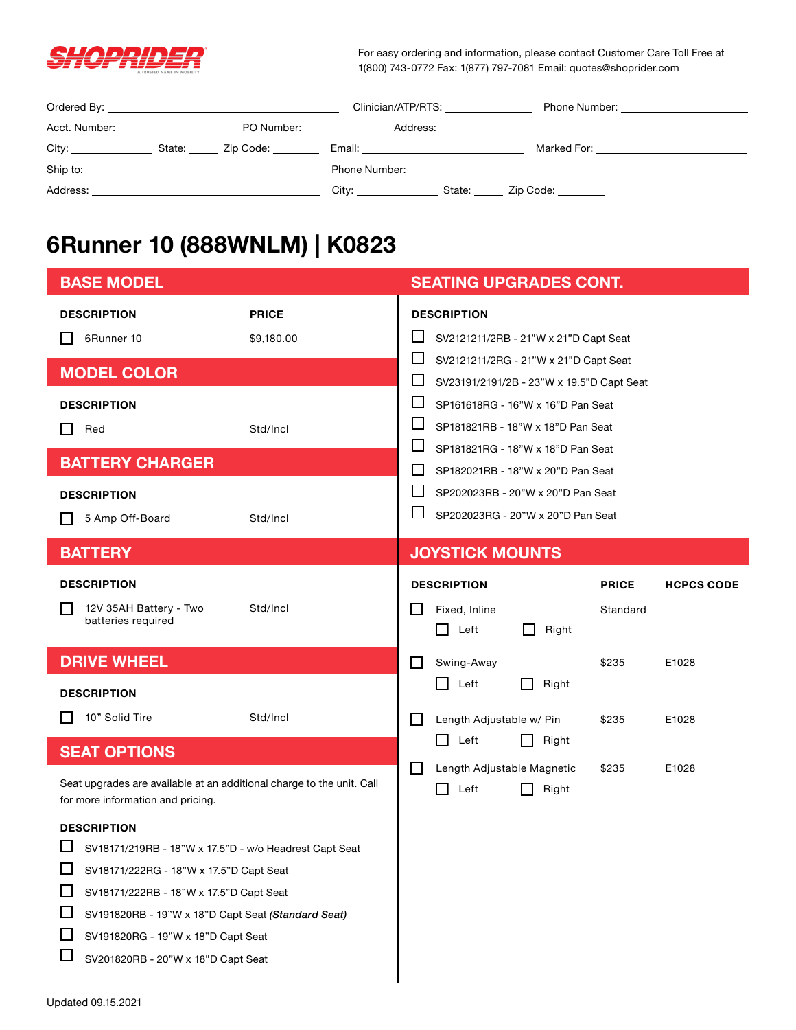

For easy ordering and information, please contact Customer Care Toll Free at 1(800) 743-0772 Fax: 1(877) 797-7081 Email: quotes@shoprider.com

|                                        |  |                       | Clinician/ATP/RTS:                                                                                                                                                                                                            | Phone Number: <u>________________________________</u> |
|----------------------------------------|--|-----------------------|-------------------------------------------------------------------------------------------------------------------------------------------------------------------------------------------------------------------------------|-------------------------------------------------------|
| Acct. Number: ________________________ |  |                       | PO Number: _____________________________Address: _______________________________                                                                                                                                              |                                                       |
|                                        |  |                       | Email: Email: All and the state of the state of the state of the state of the state of the state of the state o                                                                                                               | Marked For: <u>_____________</u>                      |
|                                        |  |                       | Phone Number: The contract of the contract of the contract of the contract of the contract of the contract of the contract of the contract of the contract of the contract of the contract of the contract of the contract of |                                                       |
|                                        |  | City: _______________ | State: <u>Zip Code:</u>                                                                                                                                                                                                       |                                                       |

## **6Runner 10 (888WNLM) | K0823**

| <b>BASE MODEL</b>                                                                                                                                                                                                                                              |                            |                       | <b>SEATING UPGRADES CONT.</b>                                                                               |                          |                   |
|----------------------------------------------------------------------------------------------------------------------------------------------------------------------------------------------------------------------------------------------------------------|----------------------------|-----------------------|-------------------------------------------------------------------------------------------------------------|--------------------------|-------------------|
| <b>DESCRIPTION</b><br>6Runner 10                                                                                                                                                                                                                               | <b>PRICE</b><br>\$9,180.00 | ப                     | <b>DESCRIPTION</b><br>SV2121211/2RB - 21"W x 21"D Capt Seat                                                 |                          |                   |
| <b>MODEL COLOR</b>                                                                                                                                                                                                                                             |                            | ப<br>ப                | SV2121211/2RG - 21"W x 21"D Capt Seat<br>SV23191/2191/2B - 23"W x 19.5"D Capt Seat                          |                          |                   |
| <b>DESCRIPTION</b><br>Red                                                                                                                                                                                                                                      | Std/Incl                   | $\Box$<br>ப<br>$\Box$ | SP161618RG - 16"W x 16"D Pan Seat<br>SP181821RB - 18"W x 18"D Pan Seat<br>SP181821RG - 18"W x 18"D Pan Seat |                          |                   |
| <b>BATTERY CHARGER</b>                                                                                                                                                                                                                                         |                            | ΙI                    | SP182021RB - 18"W x 20"D Pan Seat                                                                           |                          |                   |
| <b>DESCRIPTION</b><br>5 Amp Off-Board                                                                                                                                                                                                                          | Std/Incl                   | $\mathbf{L}$<br>ப     | SP202023RB - 20"W x 20"D Pan Seat<br>SP202023RG - 20"W x 20"D Pan Seat                                      |                          |                   |
| <b>BATTERY</b>                                                                                                                                                                                                                                                 |                            |                       | <b>JOYSTICK MOUNTS</b>                                                                                      |                          |                   |
| <b>DESCRIPTION</b><br>12V 35AH Battery - Two<br>batteries required                                                                                                                                                                                             | Std/Incl                   |                       | <b>DESCRIPTION</b><br>Fixed, Inline<br>$\Box$<br>Left<br>Right                                              | <b>PRICE</b><br>Standard | <b>HCPCS CODE</b> |
| <b>DRIVE WHEEL</b>                                                                                                                                                                                                                                             |                            | $\mathsf{L}$          | Swing-Away                                                                                                  | \$235                    | E1028             |
| <b>DESCRIPTION</b><br>10" Solid Tire                                                                                                                                                                                                                           | Std/Incl                   |                       | Right<br>Left<br>Length Adjustable w/ Pin                                                                   | \$235                    | E1028             |
| <b>SEAT OPTIONS</b>                                                                                                                                                                                                                                            |                            |                       | $\Box$<br>Left<br>Right                                                                                     |                          |                   |
| Seat upgrades are available at an additional charge to the unit. Call<br>for more information and pricing.                                                                                                                                                     |                            | l 1                   | Length Adjustable Magnetic<br>Right<br>Left                                                                 | \$235                    | E1028             |
| <b>DESCRIPTION</b><br>SV18171/219RB - 18"W x 17.5"D - w/o Headrest Capt Seat<br>SV18171/222RG - 18"W x 17.5"D Capt Seat<br>SV18171/222RB - 18"W x 17.5"D Capt Seat<br>SV191820RB - 19"W x 18"D Capt Seat (Standard Seat)<br>SV191820RG - 19"W x 18"D Capt Seat |                            |                       |                                                                                                             |                          |                   |
| SV201820RB - 20"W x 18"D Capt Seat                                                                                                                                                                                                                             |                            |                       |                                                                                                             |                          |                   |